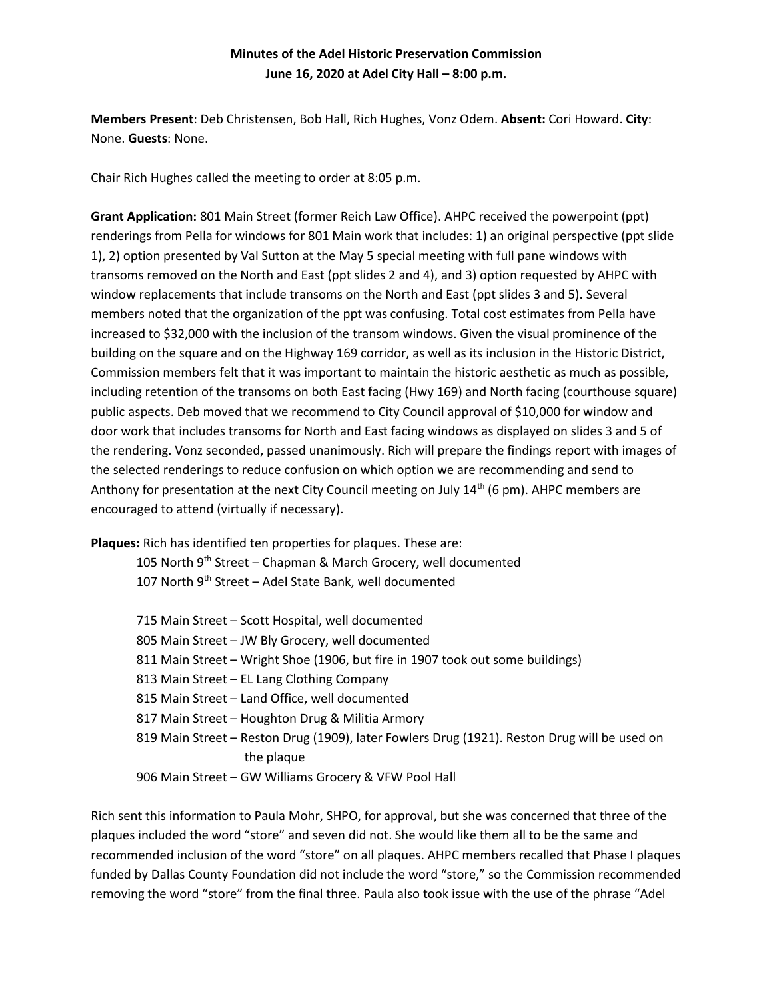## **Minutes of the Adel Historic Preservation Commission June 16, 2020 at Adel City Hall – 8:00 p.m.**

**Members Present**: Deb Christensen, Bob Hall, Rich Hughes, Vonz Odem. **Absent:** Cori Howard. **City**: None. **Guests**: None.

Chair Rich Hughes called the meeting to order at 8:05 p.m.

**Grant Application:** 801 Main Street (former Reich Law Office). AHPC received the powerpoint (ppt) renderings from Pella for windows for 801 Main work that includes: 1) an original perspective (ppt slide 1), 2) option presented by Val Sutton at the May 5 special meeting with full pane windows with transoms removed on the North and East (ppt slides 2 and 4), and 3) option requested by AHPC with window replacements that include transoms on the North and East (ppt slides 3 and 5). Several members noted that the organization of the ppt was confusing. Total cost estimates from Pella have increased to \$32,000 with the inclusion of the transom windows. Given the visual prominence of the building on the square and on the Highway 169 corridor, as well as its inclusion in the Historic District, Commission members felt that it was important to maintain the historic aesthetic as much as possible, including retention of the transoms on both East facing (Hwy 169) and North facing (courthouse square) public aspects. Deb moved that we recommend to City Council approval of \$10,000 for window and door work that includes transoms for North and East facing windows as displayed on slides 3 and 5 of the rendering. Vonz seconded, passed unanimously. Rich will prepare the findings report with images of the selected renderings to reduce confusion on which option we are recommending and send to Anthony for presentation at the next City Council meeting on July  $14<sup>th</sup>$  (6 pm). AHPC members are encouraged to attend (virtually if necessary).

**Plaques:** Rich has identified ten properties for plaques. These are:

105 North  $9<sup>th</sup>$  Street – Chapman & March Grocery, well documented 107 North 9<sup>th</sup> Street - Adel State Bank, well documented

| 715 Main Street - Scott Hospital, well documented                                            |
|----------------------------------------------------------------------------------------------|
| 805 Main Street - JW Bly Grocery, well documented                                            |
| 811 Main Street - Wright Shoe (1906, but fire in 1907 took out some buildings)               |
| 813 Main Street – EL Lang Clothing Company                                                   |
| 815 Main Street - Land Office, well documented                                               |
| 817 Main Street - Houghton Drug & Militia Armory                                             |
| 819 Main Street - Reston Drug (1909), later Fowlers Drug (1921). Reston Drug will be used on |
| the plaque                                                                                   |
| 906 Main Street - GW Williams Grocery & VFW Pool Hall                                        |

Rich sent this information to Paula Mohr, SHPO, for approval, but she was concerned that three of the plaques included the word "store" and seven did not. She would like them all to be the same and recommended inclusion of the word "store" on all plaques. AHPC members recalled that Phase I plaques funded by Dallas County Foundation did not include the word "store," so the Commission recommended removing the word "store" from the final three. Paula also took issue with the use of the phrase "Adel